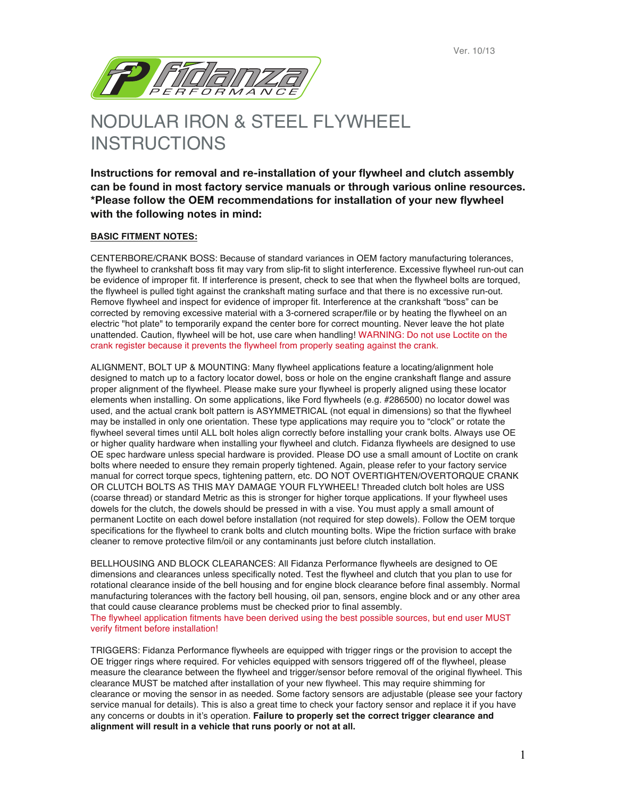

## NODULAR IRON & STEEL FLYWHEEL INSTRUCTIONS

**Instructions for removal and re-installation of your flywheel and clutch assembly can be found in most factory service manuals or through various online resources. \*Please follow the OEM recommendations for installation of your new flywheel with the following notes in mind:**

## **BASIC FITMENT NOTES:**

verify fitment before installation!

CENTERBORE/CRANK BOSS: Because of standard variances in OEM factory manufacturing tolerances, the flywheel to crankshaft boss fit may vary from slip-fit to slight interference. Excessive flywheel run-out can be evidence of improper fit. If interference is present, check to see that when the flywheel bolts are torqued, the flywheel is pulled tight against the crankshaft mating surface and that there is no excessive run-out. Remove flywheel and inspect for evidence of improper fit. Interference at the crankshaft "boss" can be corrected by removing excessive material with a 3-cornered scraper/file or by heating the flywheel on an electric "hot plate" to temporarily expand the center bore for correct mounting. Never leave the hot plate unattended. Caution, flywheel will be hot, use care when handling! WARNING: Do not use Loctite on the crank register because it prevents the flywheel from properly seating against the crank.

ALIGNMENT, BOLT UP & MOUNTING: Many flywheel applications feature a locating/alignment hole designed to match up to a factory locator dowel, boss or hole on the engine crankshaft flange and assure proper alignment of the flywheel. Please make sure your flywheel is properly aligned using these locator elements when installing. On some applications, like Ford flywheels (e.g. #286500) no locator dowel was used, and the actual crank bolt pattern is ASYMMETRICAL (not equal in dimensions) so that the flywheel may be installed in only one orientation. These type applications may require you to "clock" or rotate the flywheel several times until ALL bolt holes align correctly before installing your crank bolts. Always use OE or higher quality hardware when installing your flywheel and clutch. Fidanza flywheels are designed to use OE spec hardware unless special hardware is provided. Please DO use a small amount of Loctite on crank bolts where needed to ensure they remain properly tightened. Again, please refer to your factory service manual for correct torque specs, tightening pattern, etc. DO NOT OVERTIGHTEN/OVERTORQUE CRANK OR CLUTCH BOLTS AS THIS MAY DAMAGE YOUR FLYWHEEL! Threaded clutch bolt holes are USS (coarse thread) or standard Metric as this is stronger for higher torque applications. If your flywheel uses dowels for the clutch, the dowels should be pressed in with a vise. You must apply a small amount of permanent Loctite on each dowel before installation (not required for step dowels). Follow the OEM torque specifications for the flywheel to crank bolts and clutch mounting bolts. Wipe the friction surface with brake cleaner to remove protective film/oil or any contaminants just before clutch installation.

BELLHOUSING AND BLOCK CLEARANCES: All Fidanza Performance flywheels are designed to OE dimensions and clearances unless specifically noted. Test the flywheel and clutch that you plan to use for rotational clearance inside of the bell housing and for engine block clearance before final assembly. Normal manufacturing tolerances with the factory bell housing, oil pan, sensors, engine block and or any other area that could cause clearance problems must be checked prior to final assembly. The flywheel application fitments have been derived using the best possible sources, but end user MUST

TRIGGERS: Fidanza Performance flywheels are equipped with trigger rings or the provision to accept the OE trigger rings where required. For vehicles equipped with sensors triggered off of the flywheel, please measure the clearance between the flywheel and trigger/sensor before removal of the original flywheel. This clearance MUST be matched after installation of your new flywheel. This may require shimming for clearance or moving the sensor in as needed. Some factory sensors are adjustable (please see your factory service manual for details). This is also a great time to check your factory sensor and replace it if you have any concerns or doubts in it's operation. **Failure to properly set the correct trigger clearance and alignment will result in a vehicle that runs poorly or not at all.**